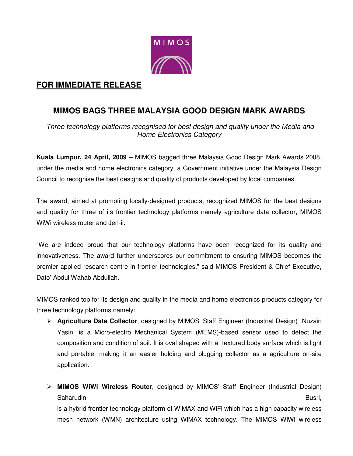

## **FOR IMMEDIATE RELEASE**

## **MIMOS BAGS THREE MALAYSIA GOOD DESIGN MARK AWARDS**

 Three technology platforms recognised for best design and quality under the Media and Home Electronics Category

**Kuala Lumpur, 24 April, 2009** – MIMOS bagged three Malaysia Good Design Mark Awards 2008, under the media and home electronics category, a Government initiative under the Malaysia Design Council to recognise the best designs and quality of products developed by local companies.

The award, aimed at promoting locally-designed products, recognized MIMOS for the best designs and quality for three of its frontier technology platforms namely agriculture data collector, MIMOS WiWi wireless router and Jen-ii.

"We are indeed proud that our technology platforms have been recognized for its quality and innovativeness. The award further underscores our commitment to ensuring MIMOS becomes the premier applied research centre in frontier technologies," said MIMOS President & Chief Executive, Dato' Abdul Wahab Abdullah.

MIMOS ranked top for its design and quality in the media and home electronics products category for three technology platforms namely:

- **Agriculture Data Collector**, designed by MIMOS' Staff Engineer (Industrial Design) Nuzairi Yasin, is a Micro-electro Mechanical System (MEMS)-based sensor used to detect the composition and condition of soil. It is oval shaped with a textured body surface which is light and portable, making it an easier holding and plugging collector as a agriculture on-site application.
- **MIMOS WiWi Wireless Router**, designed by MIMOS' Staff Engineer (Industrial Design) Saharudin Busri, Busri, Busri, Busri, Busri, Busri, Busri, Busri, Busri, Busri, Busri, Busri, Busri, Busri, Busri, Busri, Busri, Busri, Busri, Busri, Busri, Busri, Busri, Busri, Busri, Busri, Busri, Busri, Busri, Busri, Bu is a hybrid frontier technology platform of WiMAX and WiFi which has a high capacity wireless

mesh network (WMN) architecture using WiMAX technology. The MIMOS WiWi wireless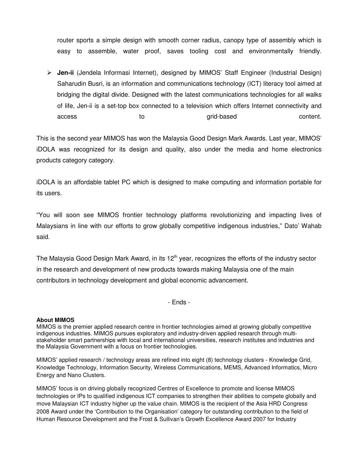router sports a simple design with smooth corner radius, canopy type of assembly which is easy to assemble, water proof, saves tooling cost and environmentally friendly.

 **Jen-ii** (Jendela Informasi Internet), designed by MIMOS' Staff Engineer (Industrial Design) Saharudin Busri, is an information and communications technology (ICT) literacy tool aimed at bridging the digital divide. Designed with the latest communications technologies for all walks of life, Jen-ii is a set-top box connected to a television which offers Internet connectivity and access access to the grid-based content.

This is the second year MIMOS has won the Malaysia Good Design Mark Awards. Last year, MIMOS' iDOLA was recognized for its design and quality, also under the media and home electronics products category category.

iDOLA is an affordable tablet PC which is designed to make computing and information portable for its users.

"You will soon see MIMOS frontier technology platforms revolutionizing and impacting lives of Malaysians in line with our efforts to grow globally competitive indigenous industries," Dato' Wahab said.

The Malaysia Good Design Mark Award, in its 12<sup>th</sup> year, recognizes the efforts of the industry sector in the research and development of new products towards making Malaysia one of the main contributors in technology development and global economic advancement.

- Ends -

## **About MIMOS**

MIMOS is the premier applied research centre in frontier technologies aimed at growing globally competitive indigenous industries. MIMOS pursues exploratory and industry-driven applied research through multistakeholder smart partnerships with local and international universities, research institutes and industries and the Malaysia Government with a focus on frontier technologies.

MIMOS' applied research / technology areas are refined into eight (8) technology clusters - Knowledge Grid, Knowledge Technology, Information Security, Wireless Communications, MEMS, Advanced Informatics, Micro Energy and Nano Clusters.

MIMOS' focus is on driving globally recognized Centres of Excellence to promote and license MIMOS technologies or IPs to qualified indigenous ICT companies to strengthen their abilities to compete globally and move Malaysian ICT industry higher up the value chain. MIMOS is the recipient of the Asia HRD Congress 2008 Award under the 'Contribution to the Organisation' category for outstanding contribution to the field of Human Resource Development and the Frost & Sullivan's Growth Excellence Award 2007 for Industry